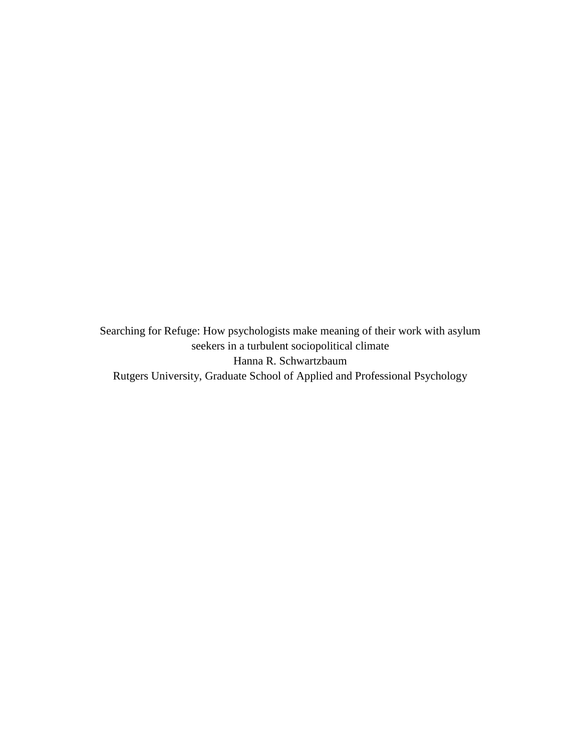Searching for Refuge: How psychologists make meaning of their work with asylum seekers in a turbulent sociopolitical climate Hanna R. Schwartzbaum Rutgers University, Graduate School of Applied and Professional Psychology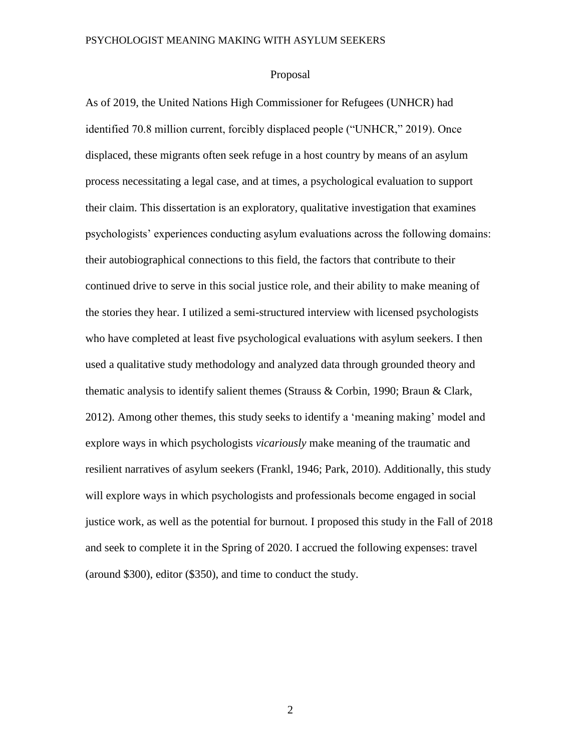## Proposal

As of 2019, the United Nations High Commissioner for Refugees (UNHCR) had identified 70.8 million current, forcibly displaced people ("UNHCR," 2019). Once displaced, these migrants often seek refuge in a host country by means of an asylum process necessitating a legal case, and at times, a psychological evaluation to support their claim. This dissertation is an exploratory, qualitative investigation that examines psychologists' experiences conducting asylum evaluations across the following domains: their autobiographical connections to this field, the factors that contribute to their continued drive to serve in this social justice role, and their ability to make meaning of the stories they hear. I utilized a semi-structured interview with licensed psychologists who have completed at least five psychological evaluations with asylum seekers. I then used a qualitative study methodology and analyzed data through grounded theory and thematic analysis to identify salient themes (Strauss & Corbin, 1990; Braun & Clark, 2012). Among other themes, this study seeks to identify a 'meaning making' model and explore ways in which psychologists *vicariously* make meaning of the traumatic and resilient narratives of asylum seekers (Frankl, 1946; Park, 2010). Additionally, this study will explore ways in which psychologists and professionals become engaged in social justice work, as well as the potential for burnout. I proposed this study in the Fall of 2018 and seek to complete it in the Spring of 2020. I accrued the following expenses: travel (around \$300), editor (\$350), and time to conduct the study.